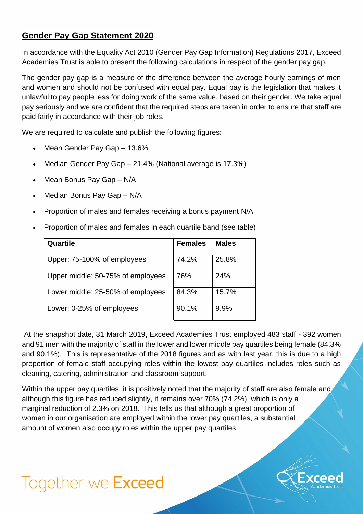## **Gender Pay Gap Statement 2020**

In accordance with the Equality Act 2010 (Gender Pay Gap Information) Regulations 2017, Exceed Academies Trust is able to present the following calculations in respect of the gender pay gap.

The gender pay gap is a measure of the difference between the average hourly earnings of men and women and should not be confused with equal pay. Equal pay is the legislation that makes it unlawful to pay people less for doing work of the same value, based on their gender. We take equal pay seriously and we are confident that the required steps are taken in order to ensure that staff are paid fairly in accordance with their job roles.

We are required to calculate and publish the following figures:

- Mean Gender Pay Gap 13.6%
- Median Gender Pay Gap 21.4% (National average is 17.3%)
- Mean Bonus Pay Gap N/A
- Median Bonus Pay Gap N/A
- Proportion of males and females receiving a bonus payment N/A
- Proportion of males and females in each quartile band (see table)

| Quartile                          | <b>Females</b> | <b>Males</b> |
|-----------------------------------|----------------|--------------|
| Upper: 75-100% of employees       | 74.2%          | 25.8%        |
| Upper middle: 50-75% of employees | 76%            | 24%          |
| Lower middle: 25-50% of employees | 84.3%          | 15.7%        |
| Lower: 0-25% of employees         | 90.1%          | 9.9%         |

At the snapshot date, 31 March 2019, Exceed Academies Trust employed 483 staff - 392 women and 91 men with the majority of staff in the lower and lower middle pay quartiles being female (84.3% and 90.1%). This is representative of the 2018 figures and as with last year, this is due to a high proportion of female staff occupying roles within the lowest pay quartiles includes roles such as cleaning, catering, administration and classroom support.

Within the upper pay quartiles, it is positively noted that the majority of staff are also female and although this figure has reduced slightly, it remains over 70% (74.2%), which is only a marginal reduction of 2.3% on 2018. This tells us that although a great proportion of women in our organisation are employed within the lower pay quartiles, a substantial amount of women also occupy roles within the upper pay quartiles.

## Together we Exceed